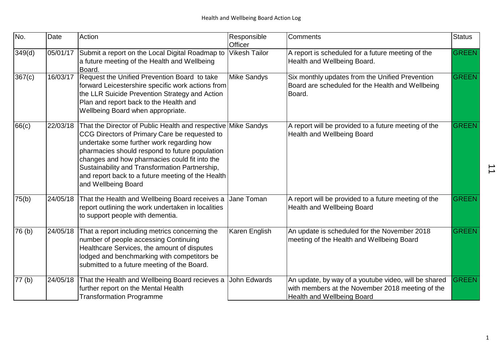| No.               | Date     | Action                                                                                                                                                                                                                                                                                                                                                                                       | Responsible                     | Comments                                                                                                                                      | <b>Status</b> |
|-------------------|----------|----------------------------------------------------------------------------------------------------------------------------------------------------------------------------------------------------------------------------------------------------------------------------------------------------------------------------------------------------------------------------------------------|---------------------------------|-----------------------------------------------------------------------------------------------------------------------------------------------|---------------|
| 349(d)            | 05/01/17 | Submit a report on the Local Digital Roadmap to<br>a future meeting of the Health and Wellbeing                                                                                                                                                                                                                                                                                              | Officer<br><b>Vikesh Tailor</b> | A report is scheduled for a future meeting of the<br>Health and Wellbeing Board.                                                              | GREEN         |
| 367(c)            | 16/03/17 | Board.<br>Request the Unified Prevention Board to take<br>forward Leicestershire specific work actions from<br>the LLR Suicide Prevention Strategy and Action<br>Plan and report back to the Health and<br>Wellbeing Board when appropriate.                                                                                                                                                 | <b>Mike Sandys</b>              | Six monthly updates from the Unified Prevention<br>Board are scheduled for the Health and Wellbeing<br>Board.                                 | <b>GREEN</b>  |
| 66(c)             | 22/03/18 | That the Director of Public Health and respective Mike Sandys<br>CCG Directors of Primary Care be requested to<br>undertake some further work regarding how<br>pharmacies should respond to future population<br>changes and how pharmacies could fit into the<br>Sustainability and Transformation Partnership,<br>and report back to a future meeting of the Health<br>and Wellbeing Board |                                 | A report will be provided to a future meeting of the<br>Health and Wellbeing Board                                                            | <b>GREEN</b>  |
| 75(b)             | 24/05/18 | That the Health and Wellbeing Board receives a<br>report outlining the work undertaken in localities<br>to support people with dementia.                                                                                                                                                                                                                                                     | Jane Toman                      | A report will be provided to a future meeting of the<br>Health and Wellbeing Board                                                            | <b>GREEN</b>  |
| 76 <sub>(b)</sub> | 24/05/18 | That a report including metrics concerning the<br>number of people accessing Continuing<br>Healthcare Services, the amount of disputes<br>lodged and benchmarking with competitors be<br>submitted to a future meeting of the Board.                                                                                                                                                         | Karen English                   | An update is scheduled for the November 2018<br>meeting of the Health and Wellbeing Board                                                     | <b>GREEN</b>  |
| 77 <sub>(b)</sub> | 24/05/18 | That the Health and Wellbeing Board recieves a<br>further report on the Mental Health<br><b>Transformation Programme</b>                                                                                                                                                                                                                                                                     | John Edwards                    | An update, by way of a youtube video, will be shared<br>with members at the November 2018 meeting of the<br><b>Health and Wellbeing Board</b> | <b>GREEN</b>  |

 $\overrightarrow{1}$ 

1